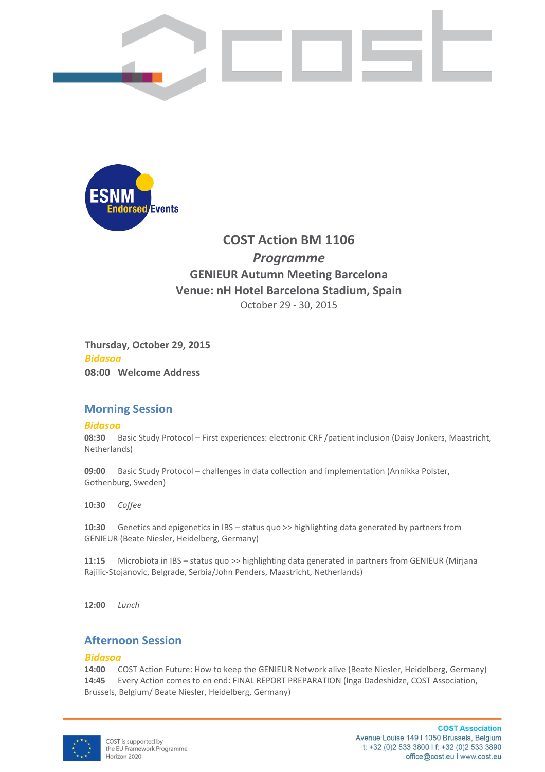



# **COST Action BM 1106** *Programme*  **GENIEUR Autumn Meeting Barcelona Venue: nH Hotel Barcelona Stadium, Spain** October 29 - 30, 2015

**Thursday, October 29, 2015** *Bidasoa* **08:00 Welcome Address**

## **Morning Session**

## *Bidasoa*

**08:30** Basic Study Protocol – First experiences: electronic CRF /patient inclusion (Daisy Jonkers, Maastricht, Netherlands)

**09:00** Basic Study Protocol – challenges in data collection and implementation (Annikka Polster, Gothenburg, Sweden)

**10:30** *Coffee*

**10:30** Genetics and epigenetics in IBS – status quo >> highlighting data generated by partners from GENIEUR (Beate Niesler, Heidelberg, Germany)

**11:15** Microbiota in IBS – status quo >> highlighting data generated in partners from GENIEUR (Mirjana Rajilic-Stojanovic, Belgrade, Serbia/John Penders, Maastricht, Netherlands)

**12:00** *Lunch* 

## **Afternoon Session**

## *Bidasoa*

**14:00** COST Action Future: How to keep the GENIEUR Network alive (Beate Niesler, Heidelberg, Germany) **14:45** Every Action comes to en end: FINAL REPORT PREPARATION (Inga Dadeshidze, COST Association, Brussels, Belgium/ Beate Niesler, Heidelberg, Germany)



**COST Association** Avenue Louise 149 | 1050 Brussels, Belgium t: +32 (0)2 533 3800 l f: +32 (0)2 533 3890 office@cost.eu I www.cost.eu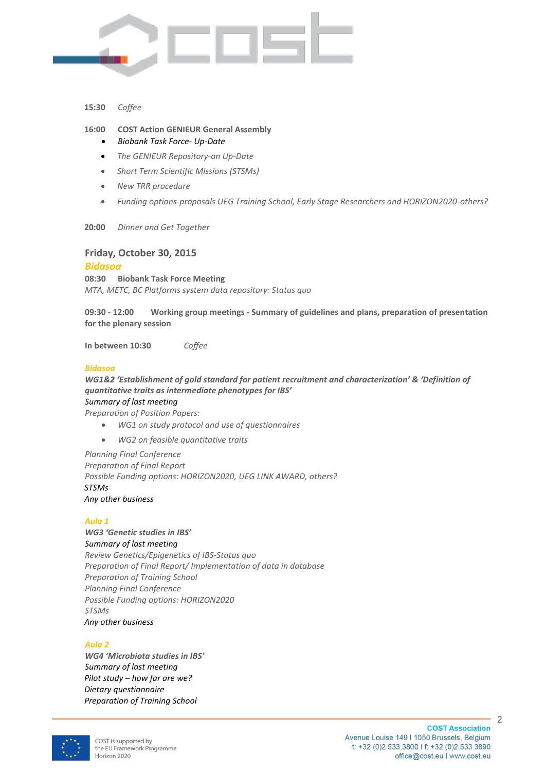

#### **15:30** *Coffee*

## **16:00 COST Action GENIEUR General Assembly**

- *Biobank Task Force- Up-Date*
- *The GENIEUR Repository-an Up-Date*
- *Short Term Scientific Missions (STSMs)*
- *New TRR procedure*
- *Funding options-proposals UEG Training School, Early Stage Researchers and HORIZON2020-others?*
- **20:00** *Dinner and Get Together*

## **Friday, October 30, 2015**

### *Bidasoa*

**08:30 Biobank Task Force Meeting** *MTA, METC, BC Platforms system data repository: Status quo*

**09:30 - 12:00 Working group meetings - Summary of guidelines and plans, preparation of presentation for the plenary session**

**In between 10:30** *Coffee*

### *Bidasoa*

*WG1&2 'Establishment of gold standard for patient recruitment and characterization' & 'Definition of quantitative traits as intermediate phenotypes for IBS'*

*Summary of last meeting*

- *Preparation of Position Papers:*
	- *WG1 on study protocol and use of questionnaires*
	- *WG2 on feasible quantitative traits*

*Planning Final Conference Preparation of Final Report Possible Funding options: HORIZON2020, UEG LINK AWARD, others? STSMs Any other business*

### *Aula 1*

*WG3 'Genetic studies in IBS' Summary of last meeting Review Genetics/Epigenetics of IBS-Status quo Preparation of Final Report/ Implementation of data in database Preparation of Training School Planning Final Conference Possible Funding options: HORIZON2020 STSMs Any other business*

### *Aula 2*

*WG4 'Microbiota studies in IBS' Summary of last meeting Pilot study – how far are we? Dietary questionnaire Preparation of Training School*



2